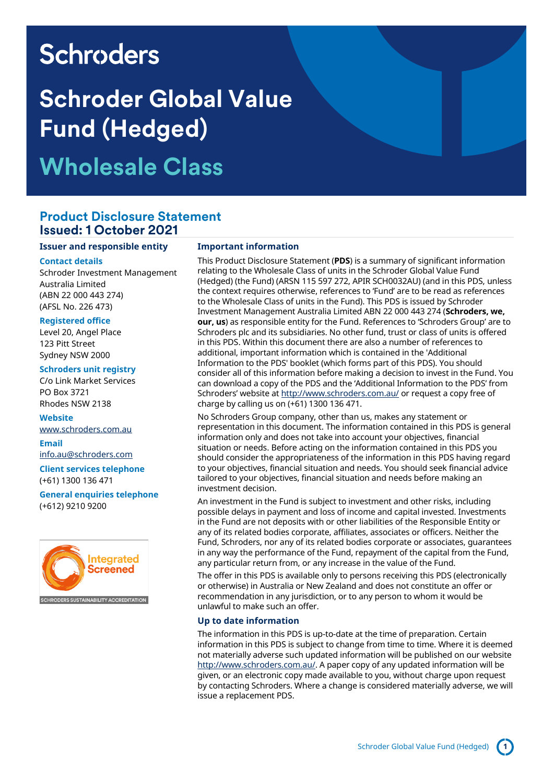# **Schroders**

# **Schroder Global Value Fund (Hedged) Wholesale Class**

### **Product Disclosure Statement Issued: 1 October 2021**

#### **Issuer and responsible entity**

#### **Contact details**

Schroder Investment Management Australia Limited (ABN 22 000 443 274) (AFSL No. 226 473)

#### **Registered office**

Level 20, Angel Place 123 Pitt Street Sydney NSW 2000

#### **Schroders unit registry**

C/o Link Market Services PO Box 3721 Rhodes NSW 2138

#### **Website**

[www.schroders.com.au](file://///lon0301.london.schroders.com/dfs/Data/DTA/dtp/Studio%20jobs%20and%20resources/Presentations%20-%20projects/Jobs%202021/Q3%202021/601952_SC_Word_Australian%20PDS%20word%20document%20templates/previous%20job%20601842/www.schroders.com.au)

### **Email**

[info.au@schroders.com](mailto:info.au@schroders.com)

**Client services telephone** (+61) 1300 136 471

**General enquiries telephone** (+612) 9210 9200



#### **Important information**

This Product Disclosure Statement (**PDS**) is a summary of significant information relating to the Wholesale Class of units in the Schroder Global Value Fund (Hedged) (the Fund) (ARSN 115 597 272, APIR SCH0032AU) (and in this PDS, unless the context requires otherwise, references to 'Fund' are to be read as references to the Wholesale Class of units in the Fund). This PDS is issued by Schroder Investment Management Australia Limited ABN 22 000 443 274 (**Schroders, we, our, us**) as responsible entity for the Fund. References to 'Schroders Group' are to Schroders plc and its subsidiaries. No other fund, trust or class of units is offered in this PDS. Within this document there are also a number of references to additional, important information which is contained in the 'Additional Information to the PDS' booklet (which forms part of this PDS). You should consider all of this information before making a decision to invest in the Fund. You can download a copy of the PDS and the 'Additional Information to the PDS' from Schroders' website at <http://www.schroders.com.au/> or request a copy free of charge by calling us on (+61) 1300 136 471.

No Schroders Group company, other than us, makes any statement or representation in this document. The information contained in this PDS is general information only and does not take into account your objectives, financial situation or needs. Before acting on the information contained in this PDS you should consider the appropriateness of the information in this PDS having regard to your objectives, financial situation and needs. You should seek financial advice tailored to your objectives, financial situation and needs before making an investment decision.

An investment in the Fund is subject to investment and other risks, including possible delays in payment and loss of income and capital invested. Investments in the Fund are not deposits with or other liabilities of the Responsible Entity or any of its related bodies corporate, affiliates, associates or officers. Neither the Fund, Schroders, nor any of its related bodies corporate or associates, guarantees in any way the performance of the Fund, repayment of the capital from the Fund, any particular return from, or any increase in the value of the Fund.

The offer in this PDS is available only to persons receiving this PDS (electronically or otherwise) in Australia or New Zealand and does not constitute an offer or recommendation in any jurisdiction, or to any person to whom it would be unlawful to make such an offer.

### **Up to date information**

The information in this PDS is up-to-date at the time of preparation. Certain information in this PDS is subject to change from time to time. Where it is deemed not materially adverse such updated information will be published on our website [http://www.schroders.com.au/.](http://www.schroders.com.au/) A paper copy of any updated information will be given, or an electronic copy made available to you, without charge upon request by contacting Schroders. Where a change is considered materially adverse, we will issue a replacement PDS.

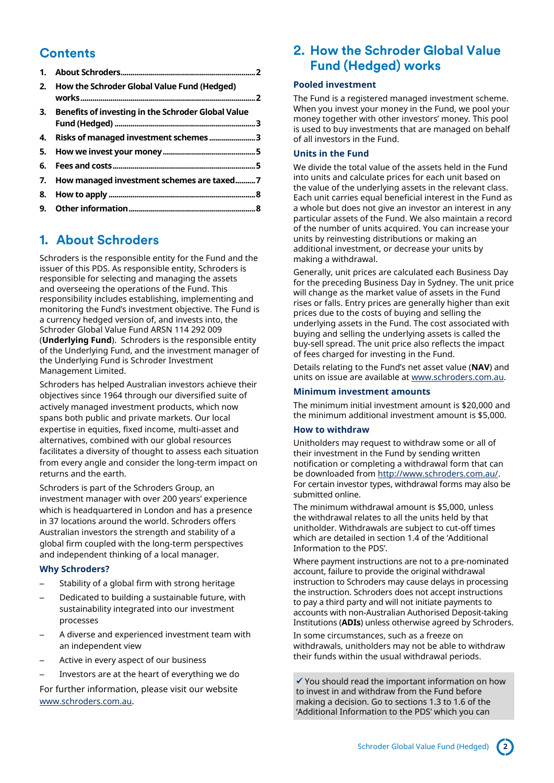# **Contents**

| 2. | How the Schroder Global Value Fund (Hedged)           |
|----|-------------------------------------------------------|
|    | 3. Benefits of investing in the Schroder Global Value |
|    | 4. Risks of managed investment schemes 3              |
|    |                                                       |
|    |                                                       |
|    | 7. How managed investment schemes are taxed7          |
|    |                                                       |
|    |                                                       |

# <span id="page-1-0"></span>**1. About Schroders**

Schroders is the responsible entity for the Fund and the issuer of this PDS. As responsible entity, Schroders is responsible for selecting and managing the assets and overseeing the operations of the Fund. This responsibility includes establishing, implementing and monitoring the Fund's investment objective. The Fund is a currency hedged version of, and invests into, the Schroder Global Value Fund ARSN 114 292 009 (**Underlying Fund**). Schroders is the responsible entity of the Underlying Fund, and the investment manager of the Underlying Fund is Schroder Investment Management Limited.

Schroders has helped Australian investors achieve their objectives since 1964 through our diversified suite of actively managed investment products, which now spans both public and private markets. Our local expertise in equities, fixed income, multi-asset and alternatives, combined with our global resources facilitates a diversity of thought to assess each situation from every angle and consider the long-term impact on returns and the earth.

Schroders is part of the Schroders Group, an investment manager with over 200 years' experience which is headquartered in London and has a presence in 37 locations around the world. Schroders offers Australian investors the strength and stability of a global firm coupled with the long-term perspectives and independent thinking of a local manager.

### **Why Schroders?**

- Stability of a global firm with strong heritage
- Dedicated to building a sustainable future, with sustainability integrated into our investment processes
- A diverse and experienced investment team with an independent view
- Active in every aspect of our business
- Investors are at the heart of everything we do

For further information, please visit our website [www.schroders.com.au](http://www.schroders.com.au/).

### <span id="page-1-1"></span>**2. How the Schroder Global Value Fund (Hedged) works**

### **Pooled investment**

The Fund is a registered managed investment scheme. When you invest your money in the Fund, we pool your money together with other investors' money. This pool is used to buy investments that are managed on behalf of all investors in the Fund.

### **Units in the Fund**

We divide the total value of the assets held in the Fund into units and calculate prices for each unit based on the value of the underlying assets in the relevant class. Each unit carries equal beneficial interest in the Fund as a whole but does not give an investor an interest in any particular assets of the Fund. We also maintain a record of the number of units acquired. You can increase your units by reinvesting distributions or making an additional investment, or decrease your units by making a withdrawal.

Generally, unit prices are calculated each Business Day for the preceding Business Day in Sydney. The unit price will change as the market value of assets in the Fund rises or falls. Entry prices are generally higher than exit prices due to the costs of buying and selling the underlying assets in the Fund. The cost associated with buying and selling the underlying assets is called the buy-sell spread. The unit price also reflects the impact of fees charged for investing in the Fund.

Details relating to the Fund's net asset value (**NAV**) and units on issue are available a[t www.schroders.com.au.](http://www.schroders.com.au/)

### **Minimum investment amounts**

The minimum initial investment amount is \$20,000 and the minimum additional investment amount is \$5,000.

#### **How to withdraw**

Unitholders may request to withdraw some or all of their investment in the Fund by sending written notification or completing a withdrawal form that can be downloaded from [http://www.schroders.com.au/.](http://www.schroders.com.au/)  For certain investor types, withdrawal forms may also be submitted online.

The minimum withdrawal amount is \$5,000, unless the withdrawal relates to all the units held by that unitholder. Withdrawals are subject to cut-off times which are detailed in section 1.4 of the 'Additional Information to the PDS'.

Where payment instructions are not to a pre-nominated account, failure to provide the original withdrawal instruction to Schroders may cause delays in processing the instruction. Schroders does not accept instructions to pay a third party and will not initiate payments to accounts with non-Australian Authorised Deposit-taking Institutions (**ADIs**) unless otherwise agreed by Schroders.

In some circumstances, such as a freeze on withdrawals, unitholders may not be able to withdraw their funds within the usual withdrawal periods.

 $\checkmark$  You should read the important information on how to invest in and withdraw from the Fund before making a decision. Go to sections 1.3 to 1.6 of the 'Additional Information to the PDS' which you can

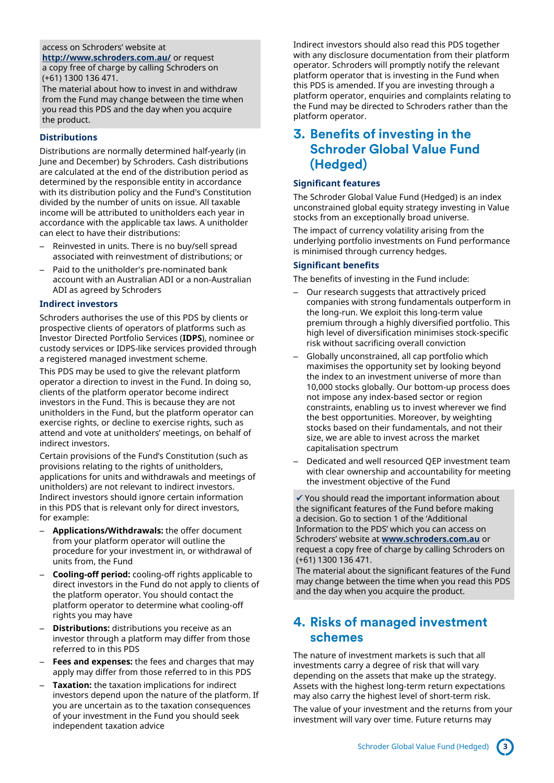### access on Schroders' website at

**<http://www.schroders.com.au/>** or request a copy free of charge by calling Schroders on (+61) 1300 136 471.

The material about how to invest in and withdraw from the Fund may change between the time when you read this PDS and the day when you acquire the product.

### **Distributions**

Distributions are normally determined half-yearly (in June and December) by Schroders. Cash distributions are calculated at the end of the distribution period as determined by the responsible entity in accordance with its distribution policy and the Fund's Constitution divided by the number of units on issue. All taxable income will be attributed to unitholders each year in accordance with the applicable tax laws. A unitholder can elect to have their distributions:

- Reinvested in units. There is no buy/sell spread associated with reinvestment of distributions; or
- Paid to the unitholder's pre-nominated bank account with an Australian ADI or a non-Australian ADI as agreed by Schroders

### **Indirect investors**

Schroders authorises the use of this PDS by clients or prospective clients of operators of platforms such as Investor Directed Portfolio Services (**IDPS**), nominee or custody services or IDPS-like services provided through a registered managed investment scheme.

This PDS may be used to give the relevant platform operator a direction to invest in the Fund. In doing so, clients of the platform operator become indirect investors in the Fund. This is because they are not unitholders in the Fund, but the platform operator can exercise rights, or decline to exercise rights, such as attend and vote at unitholders' meetings, on behalf of indirect investors.

Certain provisions of the Fund's Constitution (such as provisions relating to the rights of unitholders, applications for units and withdrawals and meetings of unitholders) are not relevant to indirect investors. Indirect investors should ignore certain information in this PDS that is relevant only for direct investors, for example:

- **Applications/Withdrawals:** the offer document from your platform operator will outline the procedure for your investment in, or withdrawal of units from, the Fund
- **Cooling-off period:** cooling-off rights applicable to direct investors in the Fund do not apply to clients of the platform operator. You should contact the platform operator to determine what cooling-off rights you may have
- **Distributions:** distributions you receive as an investor through a platform may differ from those referred to in this PDS
- **Fees and expenses:** the fees and charges that may apply may differ from those referred to in this PDS
- **Taxation:** the taxation implications for indirect investors depend upon the nature of the platform. If you are uncertain as to the taxation consequences of your investment in the Fund you should seek independent taxation advice

Indirect investors should also read this PDS together with any disclosure documentation from their platform operator. Schroders will promptly notify the relevant platform operator that is investing in the Fund when this PDS is amended. If you are investing through a platform operator, enquiries and complaints relating to the Fund may be directed to Schroders rather than the platform operator.

# <span id="page-2-0"></span>**3. Benefits of investing in the Schroder Global Value Fund (Hedged)**

### **Significant features**

The Schroder Global Value Fund (Hedged) is an index unconstrained global equity strategy investing in Value stocks from an exceptionally broad universe. The impact of currency volatility arising from the underlying portfolio investments on Fund performance is minimised through currency hedges.

### **Significant benefits**

The benefits of investing in the Fund include:

- Our research suggests that attractively priced companies with strong fundamentals outperform in the long-run. We exploit this long-term value premium through a highly diversified portfolio. This high level of diversification minimises stock-specific risk without sacrificing overall conviction
- Globally unconstrained, all cap portfolio which maximises the opportunity set by looking beyond the index to an investment universe of more than 10,000 stocks globally. Our bottom-up process does not impose any index-based sector or region constraints, enabling us to invest wherever we find the best opportunities. Moreover, by weighting stocks based on their fundamentals, and not their size, we are able to invest across the market capitalisation spectrum
- Dedicated and well resourced QEP investment team with clear ownership and accountability for meeting the investment objective of the Fund

 $\checkmark$  You should read the important information about the significant features of the Fund before making a decision. Go to section 1 of the 'Additional Information to the PDS' which you can access on Schroders' website at **[www.schroders.com.au](http://www.schroders.com.au/)** or request a copy free of charge by calling Schroders on (+61) 1300 136 471.

The material about the significant features of the Fund may change between the time when you read this PDS and the day when you acquire the product.

# <span id="page-2-1"></span>**4. Risks of managed investment schemes**

The nature of investment markets is such that all investments carry a degree of risk that will vary depending on the assets that make up the strategy. Assets with the highest long-term return expectations may also carry the highest level of short-term risk.

The value of your investment and the returns from your investment will vary over time. Future returns may

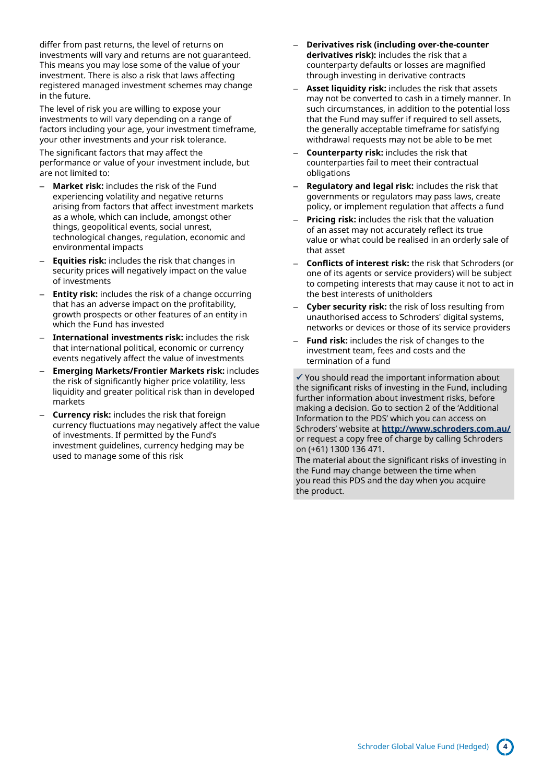differ from past returns, the level of returns on investments will vary and returns are not guaranteed. This means you may lose some of the value of your investment. There is also a risk that laws affecting registered managed investment schemes may change in the future.

The level of risk you are willing to expose your investments to will vary depending on a range of factors including your age, your investment timeframe, your other investments and your risk tolerance.

The significant factors that may affect the performance or value of your investment include, but are not limited to:

- **Market risk:** includes the risk of the Fund experiencing volatility and negative returns arising from factors that affect investment markets as a whole, which can include, amongst other things, geopolitical events, social unrest, technological changes, regulation, economic and environmental impacts
- **Equities risk:** includes the risk that changes in security prices will negatively impact on the value of investments
- **Entity risk:** includes the risk of a change occurring that has an adverse impact on the profitability, growth prospects or other features of an entity in which the Fund has invested
- **International investments risk:** includes the risk that international political, economic or currency events negatively affect the value of investments
- **Emerging Markets/Frontier Markets risk:** includes the risk of significantly higher price volatility, less liquidity and greater political risk than in developed markets
- **Currency risk:** includes the risk that foreign currency fluctuations may negatively affect the value of investments. If permitted by the Fund's investment guidelines, currency hedging may be used to manage some of this risk
- **Derivatives risk (including over-the-counter derivatives risk):** includes the risk that a counterparty defaults or losses are magnified through investing in derivative contracts
- **Asset liquidity risk:** includes the risk that assets may not be converted to cash in a timely manner. In such circumstances, in addition to the potential loss that the Fund may suffer if required to sell assets, the generally acceptable timeframe for satisfying withdrawal requests may not be able to be met
- **Counterparty risk:** includes the risk that counterparties fail to meet their contractual obligations
- **Regulatory and legal risk:** includes the risk that governments or regulators may pass laws, create policy, or implement regulation that affects a fund
- **Pricing risk:** includes the risk that the valuation of an asset may not accurately reflect its true value or what could be realised in an orderly sale of that asset
- **Conflicts of interest risk:** the risk that Schroders (or one of its agents or service providers) will be subject to competing interests that may cause it not to act in the best interests of unitholders
- **Cyber security risk:** the risk of loss resulting from unauthorised access to Schroders' digital systems, networks or devices or those of its service providers
- Fund risk: includes the risk of changes to the investment team, fees and costs and the termination of a fund

✓ You should read the important information about the significant risks of investing in the Fund, including further information about investment risks, before making a decision. Go to section 2 of the 'Additional Information to the PDS' which you can access on Schroders' website at **<http://www.schroders.com.au/>** or request a copy free of charge by calling Schroders on (+61) 1300 136 471.

The material about the significant risks of investing in the Fund may change between the time when you read this PDS and the day when you acquire the product.

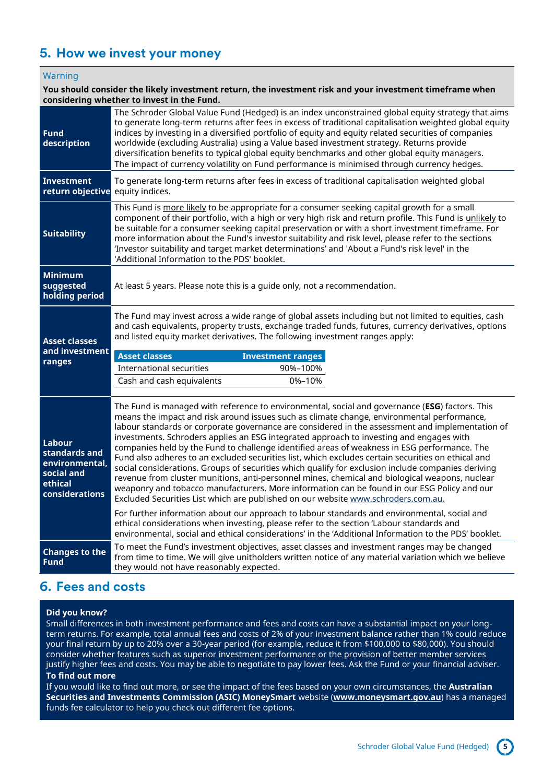# <span id="page-4-0"></span>**5. How we invest your money**

### Warning

### **You should consider the likely investment return, the investment risk and your investment timeframe when considering whether to invest in the Fund.**

| <b>Fund</b><br>description                                                           | The Schroder Global Value Fund (Hedged) is an index unconstrained global equity strategy that aims<br>to generate long-term returns after fees in excess of traditional capitalisation weighted global equity<br>indices by investing in a diversified portfolio of equity and equity related securities of companies<br>worldwide (excluding Australia) using a Value based investment strategy. Returns provide<br>diversification benefits to typical global equity benchmarks and other global equity managers.<br>The impact of currency volatility on Fund performance is minimised through currency hedges.                                                                                                                                                                                                                                                                                                                                                                           |  |  |  |  |
|--------------------------------------------------------------------------------------|----------------------------------------------------------------------------------------------------------------------------------------------------------------------------------------------------------------------------------------------------------------------------------------------------------------------------------------------------------------------------------------------------------------------------------------------------------------------------------------------------------------------------------------------------------------------------------------------------------------------------------------------------------------------------------------------------------------------------------------------------------------------------------------------------------------------------------------------------------------------------------------------------------------------------------------------------------------------------------------------|--|--|--|--|
| Investment<br>return objective                                                       | To generate long-term returns after fees in excess of traditional capitalisation weighted global<br>equity indices.                                                                                                                                                                                                                                                                                                                                                                                                                                                                                                                                                                                                                                                                                                                                                                                                                                                                          |  |  |  |  |
| <b>Suitability</b>                                                                   | This Fund is more likely to be appropriate for a consumer seeking capital growth for a small<br>component of their portfolio, with a high or very high risk and return profile. This Fund is unlikely to<br>be suitable for a consumer seeking capital preservation or with a short investment timeframe. For<br>more information about the Fund's investor suitability and risk level, please refer to the sections<br>'Investor suitability and target market determinations' and 'About a Fund's risk level' in the<br>'Additional Information to the PDS' booklet.                                                                                                                                                                                                                                                                                                                                                                                                                       |  |  |  |  |
| <b>Minimum</b><br>suggested<br>holding period                                        | At least 5 years. Please note this is a guide only, not a recommendation.                                                                                                                                                                                                                                                                                                                                                                                                                                                                                                                                                                                                                                                                                                                                                                                                                                                                                                                    |  |  |  |  |
| <b>Asset classes</b><br>and investment<br>ranges                                     | The Fund may invest across a wide range of global assets including but not limited to equities, cash<br>and cash equivalents, property trusts, exchange traded funds, futures, currency derivatives, options<br>and listed equity market derivatives. The following investment ranges apply:<br><b>Asset classes</b><br><b>Investment ranges</b>                                                                                                                                                                                                                                                                                                                                                                                                                                                                                                                                                                                                                                             |  |  |  |  |
|                                                                                      | International securities<br>90%-100%<br>Cash and cash equivalents<br>0%-10%                                                                                                                                                                                                                                                                                                                                                                                                                                                                                                                                                                                                                                                                                                                                                                                                                                                                                                                  |  |  |  |  |
| Labour<br>standards and<br>environmental,<br>social and<br>ethical<br>considerations | The Fund is managed with reference to environmental, social and governance (ESG) factors. This<br>means the impact and risk around issues such as climate change, environmental performance,<br>labour standards or corporate governance are considered in the assessment and implementation of<br>investments. Schroders applies an ESG integrated approach to investing and engages with<br>companies held by the Fund to challenge identified areas of weakness in ESG performance. The<br>Fund also adheres to an excluded securities list, which excludes certain securities on ethical and<br>social considerations. Groups of securities which qualify for exclusion include companies deriving<br>revenue from cluster munitions, anti-personnel mines, chemical and biological weapons, nuclear<br>weaponry and tobacco manufacturers. More information can be found in our ESG Policy and our<br>Excluded Securities List which are published on our website www.schroders.com.au. |  |  |  |  |
|                                                                                      | For further information about our approach to labour standards and environmental, social and<br>ethical considerations when investing, please refer to the section 'Labour standards and<br>environmental, social and ethical considerations' in the 'Additional Information to the PDS' booklet.                                                                                                                                                                                                                                                                                                                                                                                                                                                                                                                                                                                                                                                                                            |  |  |  |  |
| <b>Changes to the</b><br><b>Fund</b>                                                 | To meet the Fund's investment objectives, asset classes and investment ranges may be changed<br>from time to time. We will give unitholders written notice of any material variation which we believe<br>they would not have reasonably expected.                                                                                                                                                                                                                                                                                                                                                                                                                                                                                                                                                                                                                                                                                                                                            |  |  |  |  |

# <span id="page-4-1"></span>**6. Fees and costs**

### **Did you know?**

Small differences in both investment performance and fees and costs can have a substantial impact on your longterm returns. For example, total annual fees and costs of 2% of your investment balance rather than 1% could reduce your final return by up to 20% over a 30-year period (for example, reduce it from \$100,000 to \$80,000). You should consider whether features such as superior investment performance or the provision of better member services justify higher fees and costs. You may be able to negotiate to pay lower fees. Ask the Fund or your financial adviser.

### **To find out more**

If you would like to find out more, or see the impact of the fees based on your own circumstances, the **Australian Securities and Investments Commission (ASIC) MoneySmart** website (**[www.moneysmart.gov.au](http://www.moneysmart.gov.au/)**) has a managed funds fee calculator to help you check out different fee options.

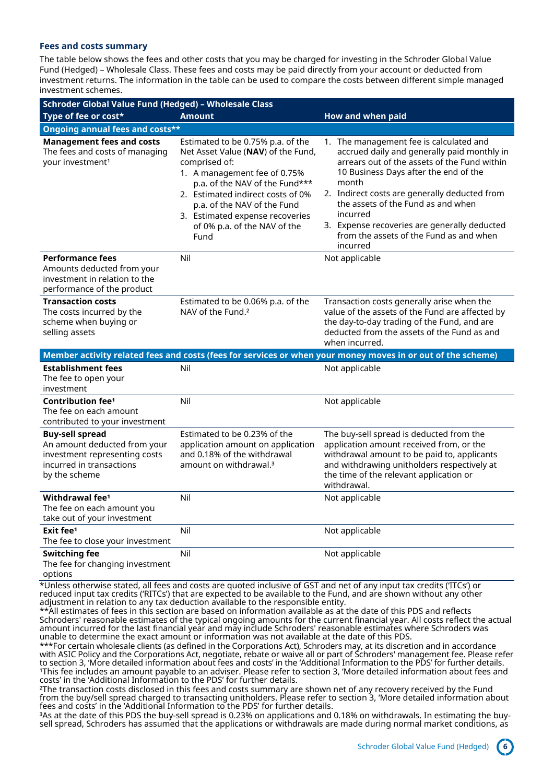#### **Fees and costs summary**

The table below shows the fees and other costs that you may be charged for investing in the Schroder Global Value Fund (Hedged) – Wholesale Class. These fees and costs may be paid directly from your account or deducted from investment returns. The information in the table can be used to compare the costs between different simple managed investment schemes.

| Schroder Global Value Fund (Hedged) - Wholesale Class                                                                                |                                                                                                                                                                                                                                                                                                           |                                                                                                                                                                                                                                                                                                                                                                                                                                                                                                  |  |  |  |  |  |
|--------------------------------------------------------------------------------------------------------------------------------------|-----------------------------------------------------------------------------------------------------------------------------------------------------------------------------------------------------------------------------------------------------------------------------------------------------------|--------------------------------------------------------------------------------------------------------------------------------------------------------------------------------------------------------------------------------------------------------------------------------------------------------------------------------------------------------------------------------------------------------------------------------------------------------------------------------------------------|--|--|--|--|--|
| Type of fee or cost*                                                                                                                 | <b>Amount</b>                                                                                                                                                                                                                                                                                             | How and when paid                                                                                                                                                                                                                                                                                                                                                                                                                                                                                |  |  |  |  |  |
| <b>Ongoing annual fees and costs**</b>                                                                                               |                                                                                                                                                                                                                                                                                                           |                                                                                                                                                                                                                                                                                                                                                                                                                                                                                                  |  |  |  |  |  |
| <b>Management fees and costs</b><br>The fees and costs of managing<br>your investment <sup>1</sup>                                   | Estimated to be 0.75% p.a. of the<br>Net Asset Value (NAV) of the Fund,<br>comprised of:<br>1. A management fee of 0.75%<br>p.a. of the NAV of the Fund***<br>2. Estimated indirect costs of 0%<br>p.a. of the NAV of the Fund<br>3. Estimated expense recoveries<br>of 0% p.a. of the NAV of the<br>Fund | 1. The management fee is calculated and<br>accrued daily and generally paid monthly in<br>arrears out of the assets of the Fund within<br>10 Business Days after the end of the<br>month<br>2. Indirect costs are generally deducted from<br>the assets of the Fund as and when<br>incurred<br>3. Expense recoveries are generally deducted<br>from the assets of the Fund as and when<br>incurred                                                                                               |  |  |  |  |  |
| <b>Performance fees</b><br>Amounts deducted from your<br>investment in relation to the<br>performance of the product                 | Nil                                                                                                                                                                                                                                                                                                       | Not applicable                                                                                                                                                                                                                                                                                                                                                                                                                                                                                   |  |  |  |  |  |
| <b>Transaction costs</b><br>The costs incurred by the<br>scheme when buying or<br>selling assets                                     | Estimated to be 0.06% p.a. of the<br>NAV of the Fund. <sup>2</sup>                                                                                                                                                                                                                                        | Transaction costs generally arise when the<br>value of the assets of the Fund are affected by<br>the day-to-day trading of the Fund, and are<br>deducted from the assets of the Fund as and<br>when incurred.                                                                                                                                                                                                                                                                                    |  |  |  |  |  |
|                                                                                                                                      |                                                                                                                                                                                                                                                                                                           | Member activity related fees and costs (fees for services or when your money moves in or out of the scheme)                                                                                                                                                                                                                                                                                                                                                                                      |  |  |  |  |  |
| <b>Establishment fees</b><br>The fee to open your<br>investment                                                                      | Nil                                                                                                                                                                                                                                                                                                       | Not applicable                                                                                                                                                                                                                                                                                                                                                                                                                                                                                   |  |  |  |  |  |
| Contribution fee <sup>1</sup><br>The fee on each amount<br>contributed to your investment                                            | Nil                                                                                                                                                                                                                                                                                                       | Not applicable                                                                                                                                                                                                                                                                                                                                                                                                                                                                                   |  |  |  |  |  |
| <b>Buy-sell spread</b><br>An amount deducted from your<br>investment representing costs<br>incurred in transactions<br>by the scheme | Estimated to be 0.23% of the<br>application amount on application<br>and 0.18% of the withdrawal<br>amount on withdrawal. <sup>3</sup>                                                                                                                                                                    | The buy-sell spread is deducted from the<br>application amount received from, or the<br>withdrawal amount to be paid to, applicants<br>and withdrawing unitholders respectively at<br>the time of the relevant application or<br>withdrawal.                                                                                                                                                                                                                                                     |  |  |  |  |  |
| Withdrawal fee <sup>1</sup><br>The fee on each amount you<br>take out of your investment                                             | Nil                                                                                                                                                                                                                                                                                                       | Not applicable                                                                                                                                                                                                                                                                                                                                                                                                                                                                                   |  |  |  |  |  |
| Exit fee <sup>1</sup><br>The fee to close your investment                                                                            | Nil                                                                                                                                                                                                                                                                                                       | Not applicable                                                                                                                                                                                                                                                                                                                                                                                                                                                                                   |  |  |  |  |  |
| <b>Switching fee</b><br>The fee for changing investment<br>options                                                                   | Nil                                                                                                                                                                                                                                                                                                       | Not applicable                                                                                                                                                                                                                                                                                                                                                                                                                                                                                   |  |  |  |  |  |
|                                                                                                                                      | adjustment in relation to any tax deduction available to the responsible entity.                                                                                                                                                                                                                          | *Unless otherwise stated, all fees and costs are quoted inclusive of GST and net of any input tax credits ('ITCs') or<br>reduced input tax credits ('RITCs') that are expected to be available to the Fund, and are shown without any other<br>**All estimates of fees in this section are based on information available as at the date of this PDS and reflects<br>Cohradors' reasonable estimates of the tupical engoing amounts for the surrent financial vear. All sests reflect the astual |  |  |  |  |  |

Schroders' reasonable estimates of the typical ongoing amounts for the current financial year. All costs reflect the actual amount incurred for the last financial year and may include Schroders' reasonable estimates where Schroders was unable to determine the exact amount or information was not available at the date of this PDS.

\*\*\*For certain wholesale clients (as defined in the Corporations Act), Schroders may, at its discretion and in accordance with ASIC Policy and the Corporations Act, negotiate, rebate or waive all or part of Schroders' management fee. Please refer to section 3, 'More detailed information about fees and costs' in the 'Additional Information to the PDS' for further details. <sup>1</sup>This fee includes an amount payable to an adviser. Please refer to section 3, 'More detailed information about fees and costs' in the 'Additional Information to the PDS' for further details.

²The transaction costs disclosed in this fees and costs summary are shown net of any recovery received by the Fund from the buy/sell spread charged to transacting unitholders. Please refer to section 3, 'More detailed information about fees and costs' in the 'Additional Information to the PDS' for further details.

³As at the date of this PDS the buy-sell spread is 0.23% on applications and 0.18% on withdrawals. In estimating the buysell spread, Schroders has assumed that the applications or withdrawals are made during normal market conditions, as

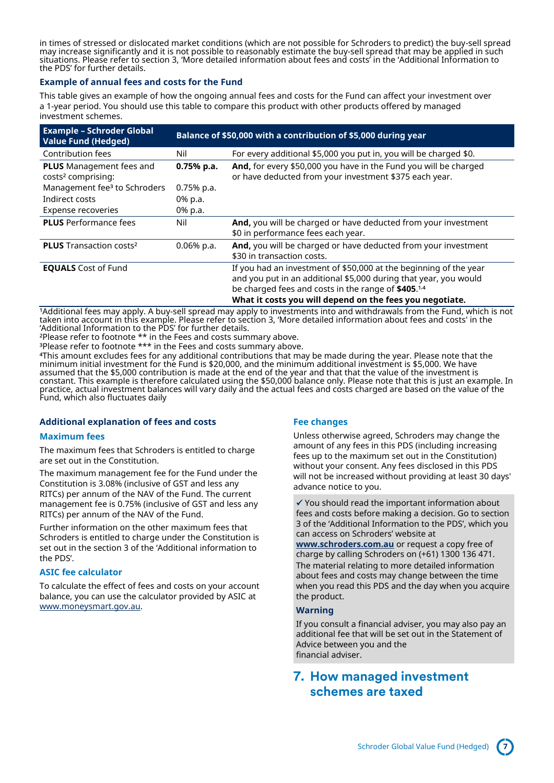in times of stressed or dislocated market conditions (which are not possible for Schroders to predict) the buy-sell spread may increase significantly and it is not possible to reasonably estimate the buy-sell spread that may be applied in such situations. Please refer to section 3, 'More detailed information about fees and costs' in the 'Additional Information to the PDS' for further details.

### **Example of annual fees and costs for the Fund**

This table gives an example of how the ongoing annual fees and costs for the Fund can affect your investment over a 1-year period. You should use this table to compare this product with other products offered by managed investment schemes.

| <b>Example - Schroder Global</b><br><b>Value Fund (Hedged)</b>    | Balance of \$50,000 with a contribution of \$5,000 during year |                                                                                                                                                                                                                                                          |  |
|-------------------------------------------------------------------|----------------------------------------------------------------|----------------------------------------------------------------------------------------------------------------------------------------------------------------------------------------------------------------------------------------------------------|--|
| Contribution fees                                                 | Nil                                                            | For every additional \$5,000 you put in, you will be charged \$0.                                                                                                                                                                                        |  |
| <b>PLUS</b> Management fees and<br>costs <sup>2</sup> comprising: | $0.75%$ p.a.                                                   | <b>And,</b> for every \$50,000 you have in the Fund you will be charged<br>or have deducted from your investment \$375 each year.                                                                                                                        |  |
| Management fee <sup>3</sup> to Schroders                          | $0.75%$ p.a.                                                   |                                                                                                                                                                                                                                                          |  |
| Indirect costs                                                    | 0% p.a.                                                        |                                                                                                                                                                                                                                                          |  |
| Expense recoveries                                                | 0% p.a.                                                        |                                                                                                                                                                                                                                                          |  |
| <b>PLUS</b> Performance fees                                      | Nil                                                            | And, you will be charged or have deducted from your investment<br>\$0 in performance fees each year.                                                                                                                                                     |  |
| <b>PLUS</b> Transaction costs <sup>2</sup>                        | $0.06\%$ p.a.                                                  | And, you will be charged or have deducted from your investment<br>\$30 in transaction costs.                                                                                                                                                             |  |
| <b>EQUALS</b> Cost of Fund                                        |                                                                | If you had an investment of \$50,000 at the beginning of the year<br>and you put in an additional \$5,000 during that year, you would<br>be charged fees and costs in the range of \$405.1,4<br>What it costs you will depend on the fees you negotiate. |  |

1Additional fees may apply. A buy-sell spread may apply to investments into and withdrawals from the Fund, which is not taken into account in this example. Please refer to section 3, 'More detailed information about fees and costs' in the 'Additional Information to the PDS' for further details.

²Please refer to footnote \*\* in the Fees and costs summary above. ³Please refer to footnote \*\*\* in the Fees and costs summary above.

⁴This amount excludes fees for any additional contributions that may be made during the year. Please note that the minimum initial investment for the Fund is \$20,000, and the minimum additional investment is \$5,000. We have assumed that the \$5,000 contribution is made at the end of the year and that that the value of the investment is constant. This example is therefore calculated using the \$50,000 balance only. Please note that this is just an example. In practice, actual investment balances will vary daily and the actual fees and costs charged are based on the value of the Fund, which also fluctuates daily

### **Additional explanation of fees and costs**

### **Maximum fees**

The maximum fees that Schroders is entitled to charge are set out in the Constitution.

The maximum management fee for the Fund under the Constitution is 3.08% (inclusive of GST and less any RITCs) per annum of the NAV of the Fund. The current management fee is 0.75% (inclusive of GST and less any RITCs) per annum of the NAV of the Fund.

Further information on the other maximum fees that Schroders is entitled to charge under the Constitution is set out in the section 3 of the 'Additional information to the PDS'.

#### **ASIC fee calculator**

To calculate the effect of fees and costs on your account balance, you can use the calculator provided by ASIC at [www.moneysmart.gov.au.](http://www.moneysmart.gov.au/)

### **Fee changes**

Unless otherwise agreed, Schroders may change the amount of any fees in this PDS (including increasing fees up to the maximum set out in the Constitution) without your consent. Any fees disclosed in this PDS will not be increased without providing at least 30 days' advance notice to you.

✓ You should read the important information about fees and costs before making a decision. Go to section 3 of the 'Additional Information to the PDS', which you can access on Schroders' website at

**[www.schroders.com.au](http://www.schroders.com.au/)** or request a copy free of charge by calling Schroders on (+61) 1300 136 471. The material relating to more detailed information about fees and costs may change between the time when you read this PDS and the day when you acquire the product.

#### **Warning**

If you consult a financial adviser, you may also pay an additional fee that will be set out in the Statement of Advice between you and the financial adviser.

### <span id="page-6-0"></span>**7. How managed investment schemes are taxed**